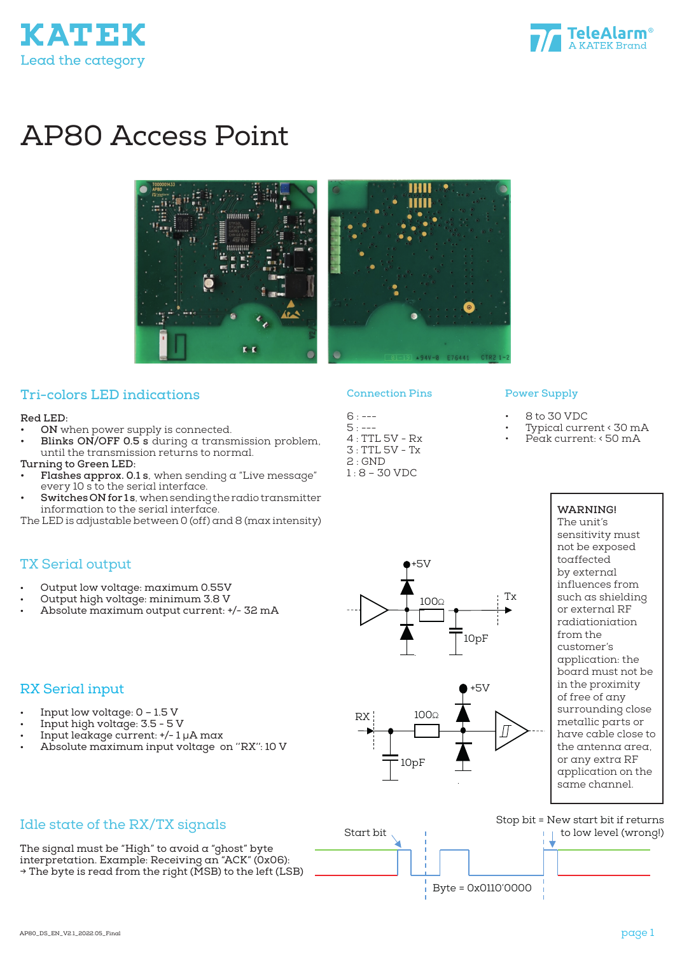



# AP80 Access Point





### **Tri-colors LED indications**

#### **Red LED:**

**• ON** when power supply is connected.

• Output low voltage: maximum 0.55V • Output high voltage: minimum 3.8 V

• Absolute maximum output current: +/- 32 mA

**• Blinks ON/OFF 0.5 s** during a transmission problem, until the transmission returns to normal.

#### **Turning to Green LED:**

TX Serial output

- **• Flashes approx. 0.1 s**, when sending a "Live message" every 10 s to the serial interface.
- **• Switches ON for 1 s**, when sending the radio transmitter information to the serial interface.
- The LED is adjustable between 0 (off) and 8 (max intensity)

#### **Connection Pins**

- 
- $6: --$
- $5: --$
- 4 : TTL 5V Rx 3 : TTL 5V - Tx
- 2 : GND 1 : 8 – 30 VDC

# • 8 to 30 VDC

• Typical current < 30 mA Peak current: < 50 mA

**Power Supply**

**WARNING!** The unit's sensitivity must not be exposed toaffected by external influences from such as shielding or external RF radiationiation from the customer's application: the board must not be in the proximity of free of any surrounding close metallic parts or have cable close to the antenna area, or any extra RF application on the same channel.

#### RX Serial input

- Input low voltage:  $0 1.5$  V
- Input high voltage: 3.5 5 V
- Input leakage current: +/- 1 µA max
- Absolute maximum input voltage on ''RX'': 10 V



+5V

 $100\Omega$   $\qquad$   $\begin{array}{c} \uparrow$  Tx

Idle state of the RX/TX signals

The signal must be "High" to avoid a "ghost" byte interpretation. Example: Receiving an "ACK" (0x06):  $\rightarrow$  The byte is read from the right (MSB) to the left (LSB)